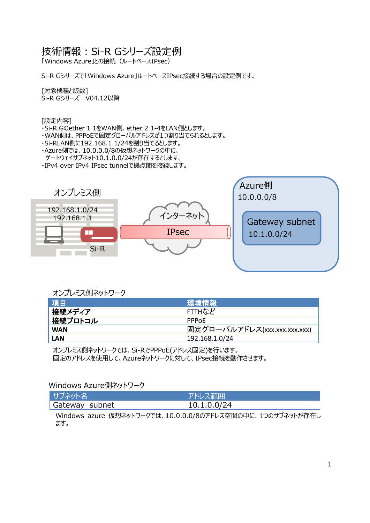# 技術情報 : Si-R Gシリーズ設定例

「Windows Azure」との接続(ルートベースIPsec)

Si-R Gシリーズで「Windows Azure」ルートベースIPsec接続する場合の設定例です。

### [対象機種と版数] Si-R Gシリーズ V04.12以降

### [設定内容]

・Si-R Gのether 1 1をWAN側、ether 2 1-4をLAN側とします。

・WAN側は、PPPoEで固定グローバルアドレスが1つ割り当てられるとします。

- ・Si-RLAN側に192.168.1.1/24を割り当てるとします。
- ・Azure側では、10.0.0.0/8の仮想ネットワークの中に、
- ゲートウェイサブネット10.1.0.0/24が存在するとします。

・IPv4 over IPv4 IPsec tunnelで拠点間を接続します。



## オンプレミス側ネットワーク

| 項目         | 環境情報                         |
|------------|------------------------------|
| 接続メディア     | FTTHなど                       |
| 接続プロトコル    | <b>PPPOE</b>                 |
| <b>WAN</b> | 固定グローバルアドレス(xxx.xxx.xxx.xxx) |
| <b>LAN</b> | 192.168.1.0/24               |

オンプレミス側ネットワークでは、Si-RでPPPoE(アドレス固定)を行います。 固定のアドレスを使⽤して、Azureネットワークに対して、IPsec接続を動作させます。

# Windows Azure側ネットワーク

| サブネット名         | アドレス範囲      |
|----------------|-------------|
| Gateway subnet | 10.1.0.0/24 |
|                |             |

Windows azure 仮想ネットワークでは、10.0.0.0/8のアドレス空間の中に、1つのサブネットが存在し ます。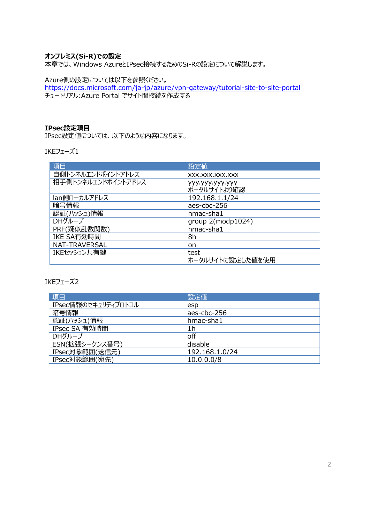## **オンプレミス(Si-R)での設定**

本章では、Windows AzureとIPsec接続するためのSi-Rの設定について解説します。

Azure側の設定については以下を参照ください。

https://docs.microsoft.com/ja-jp/azure/vpn-gateway/tutorial-site-to-site-portal チュートリアル:Azure Portal でサイト間接続を作成する

### **IPsec設定項⽬**

IPsec設定値については、以下のような内容になります。

IKEフェーズ1

| 項目                 | 設定値               |
|--------------------|-------------------|
| 自側トンネルエンドポイントアドレス  | XXX.XXX.XXX.XXX   |
| 相手側トンネルエンドポイントアドレス | YYY YYY YYY YYY   |
|                    | ポータルサイトより確認       |
| lan側ローカルアドレス       | 192.168.1.1/24    |
| 暗号情報               | aes-cbc-256       |
| 認証(ハッシュ)情報         | hmac-sha1         |
| DHグループ             | group 2(modp1024) |
| PRF(疑似乱数関数)        | hmac-sha1         |
| IKE SA有効時間         | 8h                |
| NAT-TRAVERSAL      | on                |
| IKEセッション共有鍵        | test              |
|                    | ポータルサイトに設定した値を使用  |

IKEフェーズ2

| 項目                  | 設定値            |
|---------------------|----------------|
| IPsec情報のセキュリティプロトコル | esp            |
| 暗号情報                | aes-cbc-256    |
| 認証(ハッシュ)情報          | hmac-sha1      |
| IPsec SA 有効時間       | 1h             |
| DHグループ              | off            |
| ESN(拡張シーケンス番号)      | disable        |
| IPsec対象範囲(送信元)      | 192.168.1.0/24 |
| IPsec対象範囲(宛先)       | 10.0.0.0/8     |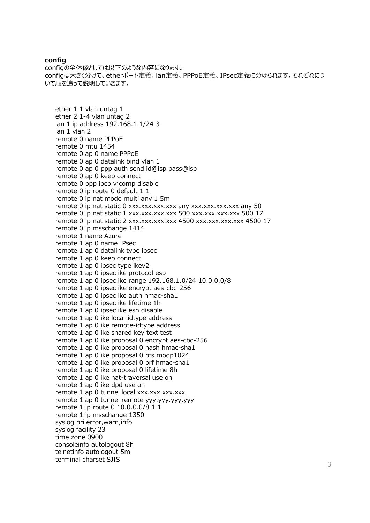#### **config**

configの全体像としては以下のような内容になります。 configは⼤きく分けて、etherポート定義、lan定義、PPPoE定義、IPsec定義に分けられます。それぞれにつ いて順を追って説明していきます。

ether 1 1 vlan untag 1 ether 2 1-4 vlan untag 2 lan 1 ip address 192.168.1.1/24 3 lan 1 vlan 2 remote 0 name PPPoE remote 0 mtu 1454 remote 0 ap 0 name PPPoE remote 0 ap 0 datalink bind vlan 1 remote 0 ap 0 ppp auth send id@isp pass@isp remote 0 ap 0 keep connect remote 0 ppp ipcp vjcomp disable remote 0 ip route 0 default 1 1 remote 0 ip nat mode multi any 1 5m remote 0 ip nat static 0 xxx.xxx.xxx.xxx any xxx.xxx.xxx.xxx any 50 remote 0 ip nat static 1 xxx.xxx.xxx.xxx 500 xxx.xxx.xxx.xxx 500 17 remote 0 ip nat static 2 xxx.xxx.xxx.xxx 4500 xxx.xxx.xxx.xxx 4500 17 remote 0 ip msschange 1414 remote 1 name Azure remote 1 ap 0 name IPsec remote 1 ap 0 datalink type ipsec remote 1 ap 0 keep connect remote 1 ap 0 ipsec type ikev2 remote 1 ap 0 ipsec ike protocol esp remote 1 ap 0 ipsec ike range 192.168.1.0/24 10.0.0.0/8 remote 1 ap 0 ipsec ike encrypt aes-cbc-256 remote 1 ap 0 ipsec ike auth hmac-sha1 remote 1 ap 0 ipsec ike lifetime 1h remote 1 ap 0 ipsec ike esn disable remote 1 ap 0 ike local-idtype address remote 1 ap 0 ike remote-idtype address remote 1 ap 0 ike shared key text test remote 1 ap 0 ike proposal 0 encrypt aes-cbc-256 remote 1 ap 0 ike proposal 0 hash hmac-sha1 remote 1 ap 0 ike proposal 0 pfs modp1024 remote 1 ap 0 ike proposal 0 prf hmac-sha1 remote 1 ap 0 ike proposal 0 lifetime 8h remote 1 ap 0 ike nat-traversal use on remote 1 ap 0 ike dpd use on remote 1 ap 0 tunnel local xxx.xxx.xxx.xxx remote 1 ap 0 tunnel remote yyy.yyy.yyy.yyy remote 1 ip route 0 10.0.0.0/8 1 1 remote 1 ip msschange 1350 syslog pri error,warn,info syslog facility 23 time zone 0900 consoleinfo autologout 8h telnetinfo autologout 5m terminal charset SJIS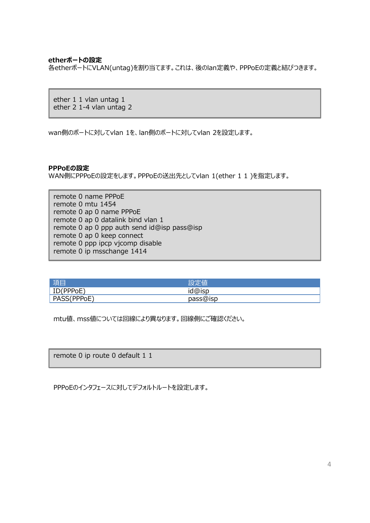**etherポートの設定**

各etherポートにVLAN(untag)を割り当てます。これは、後のlan定義や、PPPoEの定義と結びつきます。

ether 1 1 vlan untag 1 ether 2 1-4 vlan untag 2

wan側のポートに対してvlan 1を、lan側のポートに対してvlan 2を設定します。

### **PPPoEの設定**

WAN側にPPPoEの設定をします。PPPoEの送出先としてvlan 1(ether 1 1 )を指定します。

remote 0 name PPPoE remote 0 mtu 1454 remote 0 ap 0 name PPPoE remote 0 ap 0 datalink bind vlan 1 remote 0 ap 0 ppp auth send id@isp pass@isp remote 0 ap 0 keep connect remote 0 ppp ipcp vjcomp disable remote 0 ip msschange 1414

| 項目          | - 設定/<br>MÉ |
|-------------|-------------|
| ID(PPPoE)   | id@icn      |
| PASS(PPPoE) | pass@isp    |

mtu値、mss値については回線により異なります。回線側にご確認ください。

remote 0 ip route 0 default 1 1

PPPoEのインタフェースに対してデフォルトルートを設定します。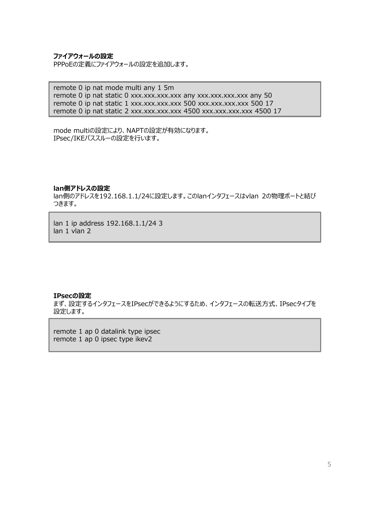### **ファイアウォールの設定**

PPPoEの定義にファイアウォールの設定を追加します。

remote 0 ip nat mode multi any 1 5m remote 0 ip nat static 0 xxx.xxx.xxx.xxx any xxx.xxx.xxx.xxx any 50 remote 0 ip nat static 1 xxx.xxx.xxx.xxx 500 xxx.xxx.xxx.xxx 500 17 remote 0 ip nat static 2 xxx.xxx.xxx.xxx 4500 xxx.xxx.xxx.xxx 4500 17

mode multiの設定により、NAPTの設定が有効になります。 IPsec/IKEパススルーの設定を行います。

#### **lan側アドレスの設定**

lan側のアドレスを192.168.1.1/24に設定します。このlanインタフェースはvlan 2の物理ポートと結び つきます。

lan 1 ip address 192.168.1.1/24 3 lan 1 vlan 2

#### **IPsecの設定**

まず、設定するインタフェースをIPsecができるようにするため、インタフェースの転送方式、IPsecタイプを 設定します。

remote 1 ap 0 datalink type ipsec remote 1 ap 0 ipsec type ikev2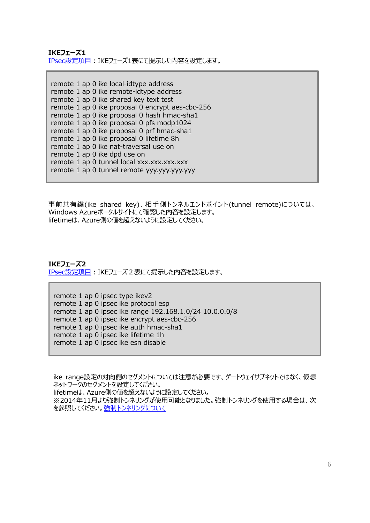**IKEフェーズ1** IPsec設定項目: IKEフェーズ1表にて提示した内容を設定します。

remote 1 ap 0 ike local-idtype address remote 1 ap 0 ike remote-idtype address remote 1 ap 0 ike shared key text test remote 1 ap 0 ike proposal 0 encrypt aes-cbc-256 remote 1 ap 0 ike proposal 0 hash hmac-sha1 remote 1 ap 0 ike proposal 0 pfs modp1024 remote 1 ap 0 ike proposal 0 prf hmac-sha1 remote 1 ap 0 ike proposal 0 lifetime 8h remote 1 ap 0 ike nat-traversal use on remote 1 ap 0 ike dpd use on remote 1 ap 0 tunnel local xxx.xxx.xxx.xxx remote 1 ap 0 tunnel remote yyy.yyy.yyy.yyy

事前共有鍵(ike shared key)、相手側トンネルエンドポイント(tunnel remote)については、 Windows Azureポータルサイトにて確認した内容を設定します。 lifetimeは、Azure側の値を超えないように設定してください。

**IKEフェーズ2** IPsec設定項目: IKEフェーズ2表にて提示した内容を設定します。

remote 1 ap 0 ipsec type ikev2 remote 1 ap 0 ipsec ike protocol esp remote 1 ap 0 ipsec ike range 192.168.1.0/24 10.0.0.0/8 remote 1 ap 0 ipsec ike encrypt aes-cbc-256 remote 1 ap 0 ipsec ike auth hmac-sha1 remote 1 ap 0 ipsec ike lifetime 1h remote 1 ap 0 ipsec ike esn disable

ike range設定の対向側のセグメントについては注意が必要です。ゲートウェイサブネットではなく、仮想 ネットワークのセグメントを設定してください。 lifetimeは、Azure側の値を超えないように設定してください。 ※2014年11月より強制トンネリングが使用可能となりました。強制トンネリングを使用する場合は、次 を参照してください。強制トンネリングについて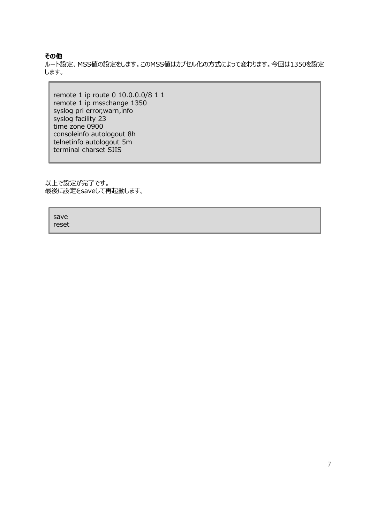#### **その他**

ルート設定、MSS値の設定をします。このMSS値はカプセル化の方式によって変わります。今回は1350を設定 します。

remote 1 ip route 0 10.0.0.0/8 1 1 remote 1 ip msschange 1350 syslog pri error,warn,info syslog facility 23 time zone 0900 consoleinfo autologout 8h telnetinfo autologout 5m terminal charset SJIS

以上で設定が完了です。 最後に設定をsaveして再起動します。

save reset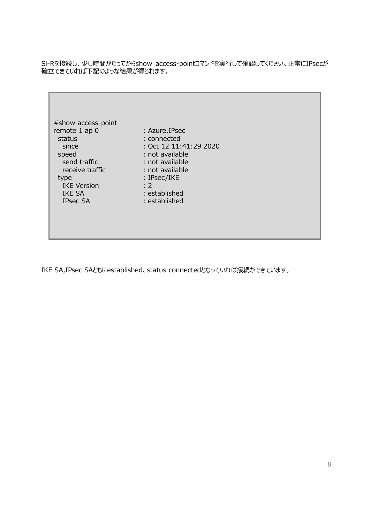Si-Rを接続し、少し時間がたってからshow access-pointコマンドを実行して確認してください。正常にIPsecが 確立できていれば下記のような結果が得られます。

#show access-point remote 1 ap 0 : Azure.IPsec status : connected since : Oct 12 11:41:29 2020 speed : not available send traffic in the send traffic in the senation of the senation of the senation of the senation of the senati receive traffic : not available type : IPsec/IKE IKE Version : 2 : established IPsec SA : established

IKE SA,IPsec SAともにestablished、status connectedとなっていれば接続ができています。